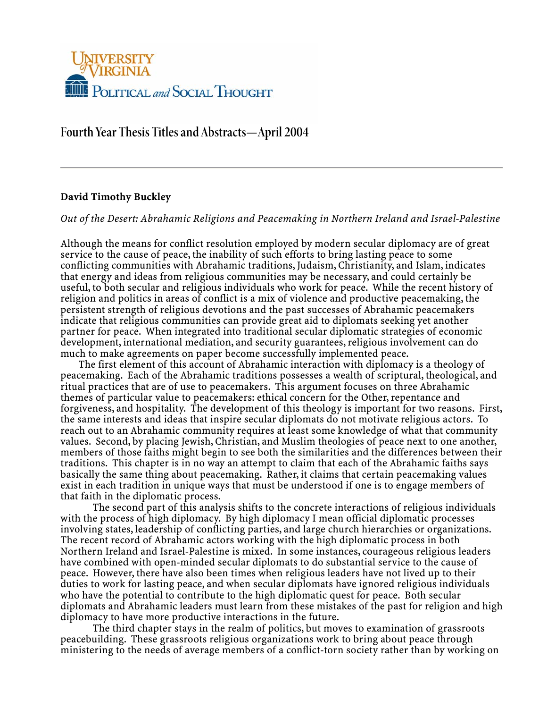

# **Fourth Year Thesis Titles and Abstracts—April 2004**

# **David Timothy Buckley**

## *Out of the Desert: Abrahamic Religions and Peacemaking in Northern Ireland and Israel-Palestine*

Although the means for conflict resolution employed by modern secular diplomacy are of great service to the cause of peace, the inability of such efforts to bring lasting peace to some conflicting communities with Abrahamic traditions, Judaism, Christianity, and Islam, indicates that energy and ideas from religious communities may be necessary, and could certainly be useful, to both secular and religious individuals who work for peace. While the recent history of religion and politics in areas of conflict is a mix of violence and productive peacemaking, the persistent strength of religious devotions and the past successes of Abrahamic peacemakers indicate that religious communities can provide great aid to diplomats seeking yet another partner for peace. When integrated into traditional secular diplomatic strategies of economic development, international mediation, and security guarantees, religious involvement can do much to make agreements on paper become successfully implemented peace.

 The first element of this account of Abrahamic interaction with diplomacy is a theology of peacemaking. Each of the Abrahamic traditions possesses a wealth of scriptural, theological, and ritual practices that are of use to peacemakers. This argument focuses on three Abrahamic themes of particular value to peacemakers: ethical concern for the Other, repentance and forgiveness, and hospitality. The development of this theology is important for two reasons. First, the same interests and ideas that inspire secular diplomats do not motivate religious actors. To reach out to an Abrahamic community requires at least some knowledge of what that community values. Second, by placing Jewish, Christian, and Muslim theologies of peace next to one another, members of those faiths might begin to see both the similarities and the differences between their traditions. This chapter is in no way an attempt to claim that each of the Abrahamic faiths says basically the same thing about peacemaking. Rather, it claims that certain peacemaking values exist in each tradition in unique ways that must be understood if one is to engage members of that faith in the diplomatic process.

The second part of this analysis shifts to the concrete interactions of religious individuals with the process of high diplomacy. By high diplomacy I mean official diplomatic processes involving states, leadership of conflicting parties, and large church hierarchies or organizations. The recent record of Abrahamic actors working with the high diplomatic process in both Northern Ireland and Israel-Palestine is mixed. In some instances, courageous religious leaders have combined with open-minded secular diplomats to do substantial service to the cause of peace. However, there have also been times when religious leaders have not lived up to their duties to work for lasting peace, and when secular diplomats have ignored religious individuals who have the potential to contribute to the high diplomatic quest for peace. Both secular diplomats and Abrahamic leaders must learn from these mistakes of the past for religion and high diplomacy to have more productive interactions in the future.

The third chapter stays in the realm of politics, but moves to examination of grassroots peacebuilding. These grassroots religious organizations work to bring about peace through ministering to the needs of average members of a conflict-torn society rather than by working on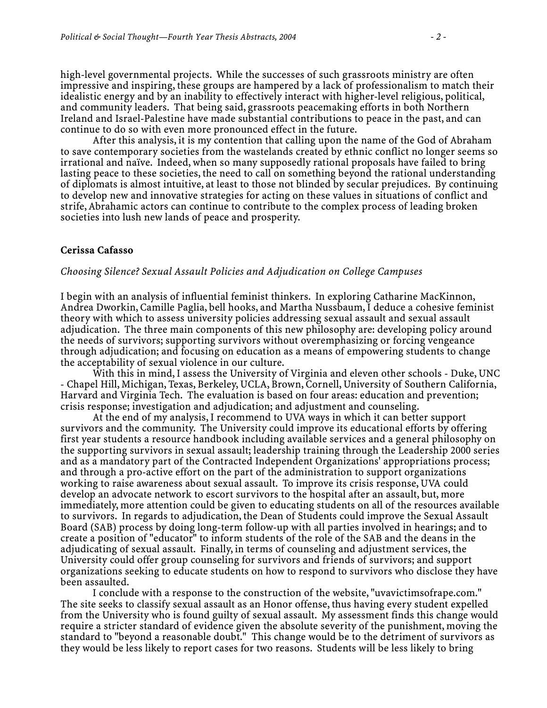high-level governmental projects. While the successes of such grassroots ministry are often impressive and inspiring, these groups are hampered by a lack of professionalism to match their idealistic energy and by an inability to effectively interact with higher-level religious, political, and community leaders. That being said, grassroots peacemaking efforts in both Northern Ireland and Israel-Palestine have made substantial contributions to peace in the past, and can continue to do so with even more pronounced effect in the future.

 After this analysis, it is my contention that calling upon the name of the God of Abraham to save contemporary societies from the wastelands created by ethnic conflict no longer seems so irrational and naïve. Indeed, when so many supposedly rational proposals have failed to bring lasting peace to these societies, the need to call on something beyond the rational understanding of diplomats is almost intuitive, at least to those not blinded by secular prejudices. By continuing to develop new and innovative strategies for acting on these values in situations of conflict and strife, Abrahamic actors can continue to contribute to the complex process of leading broken societies into lush new lands of peace and prosperity.

### **Cerissa Cafasso**

#### *Choosing Silence? Sexual Assault Policies and Adjudication on College Campuses*

I begin with an analysis of influential feminist thinkers. In exploring Catharine MacKinnon, Andrea Dworkin, Camille Paglia, bell hooks, and Martha Nussbaum, I deduce a cohesive feminist theory with which to assess university policies addressing sexual assault and sexual assault adjudication. The three main components of this new philosophy are: developing policy around the needs of survivors; supporting survivors without overemphasizing or forcing vengeance through adjudication; and focusing on education as a means of empowering students to change the acceptability of sexual violence in our culture.

 With this in mind, I assess the University of Virginia and eleven other schools - Duke, UNC - Chapel Hill, Michigan, Texas, Berkeley, UCLA, Brown, Cornell, University of Southern California, Harvard and Virginia Tech. The evaluation is based on four areas: education and prevention; crisis response; investigation and adjudication; and adjustment and counseling.

 At the end of my analysis, I recommend to UVA ways in which it can better support survivors and the community. The University could improve its educational efforts by offering first year students a resource handbook including available services and a general philosophy on the supporting survivors in sexual assault; leadership training through the Leadership 2000 series and as a mandatory part of the Contracted Independent Organizations' appropriations process; and through a pro-active effort on the part of the administration to support organizations working to raise awareness about sexual assault. To improve its crisis response, UVA could develop an advocate network to escort survivors to the hospital after an assault, but, more immediately, more attention could be given to educating students on all of the resources available to survivors. In regards to adjudication, the Dean of Students could improve the Sexual Assault Board (SAB) process by doing long-term follow-up with all parties involved in hearings; and to create a position of "educator" to inform students of the role of the SAB and the deans in the adjudicating of sexual assault. Finally, in terms of counseling and adjustment services, the University could offer group counseling for survivors and friends of survivors; and support organizations seeking to educate students on how to respond to survivors who disclose they have been assaulted.

 I conclude with a response to the construction of the website, "uvavictimsofrape.com." The site seeks to classify sexual assault as an Honor offense, thus having every student expelled from the University who is found guilty of sexual assault. My assessment finds this change would require a stricter standard of evidence given the absolute severity of the punishment, moving the standard to "beyond a reasonable doubt." This change would be to the detriment of survivors as they would be less likely to report cases for two reasons. Students will be less likely to bring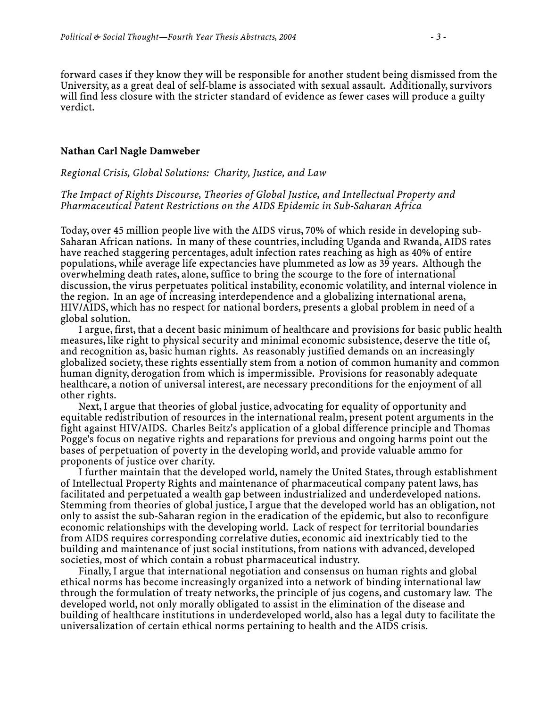forward cases if they know they will be responsible for another student being dismissed from the University, as a great deal of self-blame is associated with sexual assault. Additionally, survivors will find less closure with the stricter standard of evidence as fewer cases will produce a guilty verdict.

#### **Nathan Carl Nagle Damweber**

#### *Regional Crisis, Global Solutions: Charity, Justice, and Law*

*The Impact of Rights Discourse, Theories of Global Justice, and Intellectual Property and Pharmaceutical Patent Restrictions on the AIDS Epidemic in Sub-Saharan Africa* 

Today, over 45 million people live with the AIDS virus, 70% of which reside in developing sub-Saharan African nations. In many of these countries, including Uganda and Rwanda, AIDS rates have reached staggering percentages, adult infection rates reaching as high as 40% of entire populations, while average life expectancies have plummeted as low as 39 years. Although the overwhelming death rates, alone, suffice to bring the scourge to the fore of international discussion, the virus perpetuates political instability, economic volatility, and internal violence in the region. In an age of increasing interdependence and a globalizing international arena, HIV/AIDS, which has no respect for national borders, presents a global problem in need of a global solution.

 I argue, first, that a decent basic minimum of healthcare and provisions for basic public health measures, like right to physical security and minimal economic subsistence, deserve the title of, and recognition as, basic human rights. As reasonably justified demands on an increasingly globalized society, these rights essentially stem from a notion of common humanity and common human dignity, derogation from which is impermissible. Provisions for reasonably adequate healthcare, a notion of universal interest, are necessary preconditions for the enjoyment of all other rights.

 Next, I argue that theories of global justice, advocating for equality of opportunity and equitable redistribution of resources in the international realm, present potent arguments in the fight against HIV/AIDS. Charles Beitz's application of a global difference principle and Thomas Pogge's focus on negative rights and reparations for previous and ongoing harms point out the bases of perpetuation of poverty in the developing world, and provide valuable ammo for proponents of justice over charity.

 I further maintain that the developed world, namely the United States, through establishment of Intellectual Property Rights and maintenance of pharmaceutical company patent laws, has facilitated and perpetuated a wealth gap between industrialized and underdeveloped nations. Stemming from theories of global justice, I argue that the developed world has an obligation, not only to assist the sub-Saharan region in the eradication of the epidemic, but also to reconfigure economic relationships with the developing world. Lack of respect for territorial boundaries from AIDS requires corresponding correlative duties, economic aid inextricably tied to the building and maintenance of just social institutions, from nations with advanced, developed societies, most of which contain a robust pharmaceutical industry.

 Finally, I argue that international negotiation and consensus on human rights and global ethical norms has become increasingly organized into a network of binding international law through the formulation of treaty networks, the principle of jus cogens, and customary law. The developed world, not only morally obligated to assist in the elimination of the disease and building of healthcare institutions in underdeveloped world, also has a legal duty to facilitate the universalization of certain ethical norms pertaining to health and the AIDS crisis.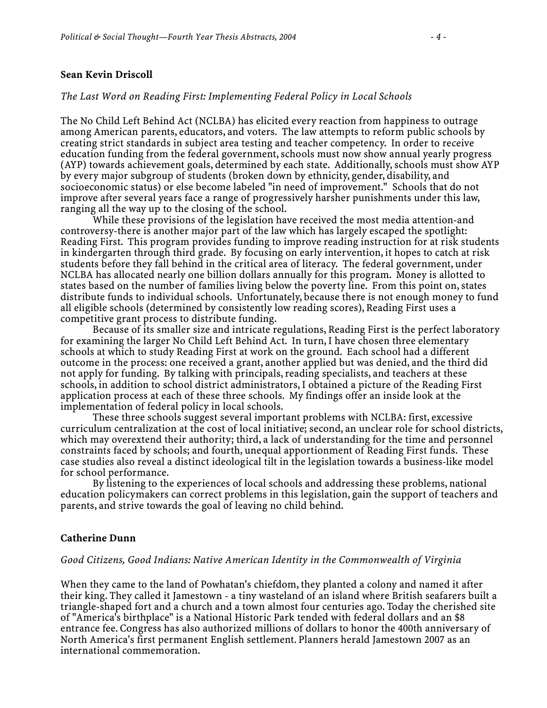### **Sean Kevin Driscoll**

#### *The Last Word on Reading First: Implementing Federal Policy in Local Schools*

The No Child Left Behind Act (NCLBA) has elicited every reaction from happiness to outrage among American parents, educators, and voters. The law attempts to reform public schools by creating strict standards in subject area testing and teacher competency. In order to receive education funding from the federal government, schools must now show annual yearly progress (AYP) towards achievement goals, determined by each state. Additionally, schools must show AYP by every major subgroup of students (broken down by ethnicity, gender, disability, and socioeconomic status) or else become labeled "in need of improvement." Schools that do not improve after several years face a range of progressively harsher punishments under this law, ranging all the way up to the closing of the school.

 While these provisions of the legislation have received the most media attention-and controversy-there is another major part of the law which has largely escaped the spotlight: Reading First. This program provides funding to improve reading instruction for at risk students in kindergarten through third grade. By focusing on early intervention, it hopes to catch at risk students before they fall behind in the critical area of literacy. The federal government, under NCLBA has allocated nearly one billion dollars annually for this program. Money is allotted to states based on the number of families living below the poverty line. From this point on, states distribute funds to individual schools. Unfortunately, because there is not enough money to fund all eligible schools (determined by consistently low reading scores), Reading First uses a competitive grant process to distribute funding.

 Because of its smaller size and intricate regulations, Reading First is the perfect laboratory for examining the larger No Child Left Behind Act. In turn, I have chosen three elementary schools at which to study Reading First at work on the ground. Each school had a different outcome in the process: one received a grant, another applied but was denied, and the third did not apply for funding. By talking with principals, reading specialists, and teachers at these schools, in addition to school district administrators, I obtained a picture of the Reading First application process at each of these three schools. My findings offer an inside look at the implementation of federal policy in local schools.

 These three schools suggest several important problems with NCLBA: first, excessive curriculum centralization at the cost of local initiative; second, an unclear role for school districts, which may overextend their authority; third, a lack of understanding for the time and personnel constraints faced by schools; and fourth, unequal apportionment of Reading First funds. These case studies also reveal a distinct ideological tilt in the legislation towards a business-like model for school performance.

 By listening to the experiences of local schools and addressing these problems, national education policymakers can correct problems in this legislation, gain the support of teachers and parents, and strive towards the goal of leaving no child behind.

#### **Catherine Dunn**

### *Good Citizens, Good Indians: Native American Identity in the Commonwealth of Virginia*

When they came to the land of Powhatan's chiefdom, they planted a colony and named it after their king. They called it Jamestown - a tiny wasteland of an island where British seafarers built a triangle-shaped fort and a church and a town almost four centuries ago. Today the cherished site of "America's birthplace" is a National Historic Park tended with federal dollars and an \$8 entrance fee. Congress has also authorized millions of dollars to honor the 400th anniversary of North America's first permanent English settlement. Planners herald Jamestown 2007 as an international commemoration.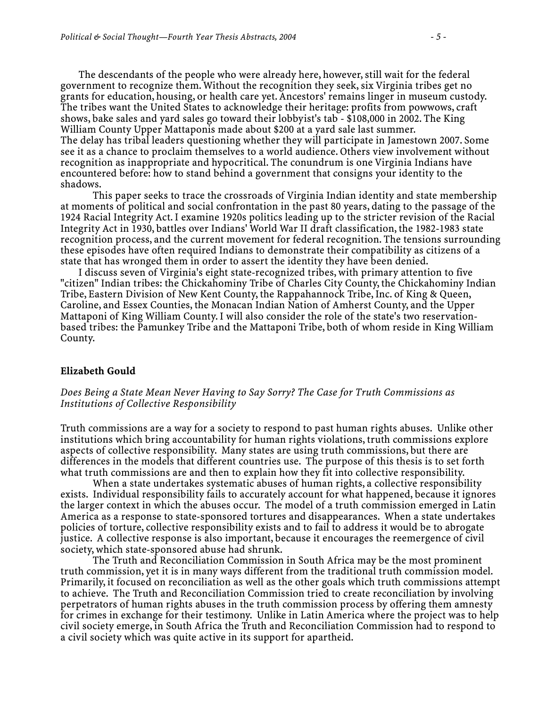The descendants of the people who were already here, however, still wait for the federal government to recognize them. Without the recognition they seek, six Virginia tribes get no grants for education, housing, or health care yet. Ancestors' remains linger in museum custody. The tribes want the United States to acknowledge their heritage: profits from powwows, craft shows, bake sales and yard sales go toward their lobbyist's tab - \$108,000 in 2002. The King William County Upper Mattaponis made about \$200 at a yard sale last summer. The delay has tribal leaders questioning whether they will participate in Jamestown 2007. Some see it as a chance to proclaim themselves to a world audience. Others view involvement without recognition as inappropriate and hypocritical. The conundrum is one Virginia Indians have encountered before: how to stand behind a government that consigns your identity to the shadows.

 This paper seeks to trace the crossroads of Virginia Indian identity and state membership at moments of political and social confrontation in the past 80 years, dating to the passage of the 1924 Racial Integrity Act. I examine 1920s politics leading up to the stricter revision of the Racial Integrity Act in 1930, battles over Indians' World War II draft classification, the 1982-1983 state recognition process, and the current movement for federal recognition. The tensions surrounding these episodes have often required Indians to demonstrate their compatibility as citizens of a state that has wronged them in order to assert the identity they have been denied.

 I discuss seven of Virginia's eight state-recognized tribes, with primary attention to five "citizen" Indian tribes: the Chickahominy Tribe of Charles City County, the Chickahominy Indian Tribe, Eastern Division of New Kent County, the Rappahannock Tribe, Inc. of King & Queen, Caroline, and Essex Counties, the Monacan Indian Nation of Amherst County, and the Upper Mattaponi of King William County. I will also consider the role of the state's two reservationbased tribes: the Pamunkey Tribe and the Mattaponi Tribe, both of whom reside in King William County.

#### **Elizabeth Gould**

### *Does Being a State Mean Never Having to Say Sorry? The Case for Truth Commissions as Institutions of Collective Responsibility*

Truth commissions are a way for a society to respond to past human rights abuses. Unlike other institutions which bring accountability for human rights violations, truth commissions explore aspects of collective responsibility. Many states are using truth commissions, but there are differences in the models that different countries use. The purpose of this thesis is to set forth what truth commissions are and then to explain how they fit into collective responsibility.

 When a state undertakes systematic abuses of human rights, a collective responsibility exists. Individual responsibility fails to accurately account for what happened, because it ignores the larger context in which the abuses occur. The model of a truth commission emerged in Latin America as a response to state-sponsored tortures and disappearances. When a state undertakes policies of torture, collective responsibility exists and to fail to address it would be to abrogate justice. A collective response is also important, because it encourages the reemergence of civil society, which state-sponsored abuse had shrunk.

 The Truth and Reconciliation Commission in South Africa may be the most prominent truth commission, yet it is in many ways different from the traditional truth commission model. Primarily, it focused on reconciliation as well as the other goals which truth commissions attempt to achieve. The Truth and Reconciliation Commission tried to create reconciliation by involving perpetrators of human rights abuses in the truth commission process by offering them amnesty for crimes in exchange for their testimony. Unlike in Latin America where the project was to help civil society emerge, in South Africa the Truth and Reconciliation Commission had to respond to a civil society which was quite active in its support for apartheid.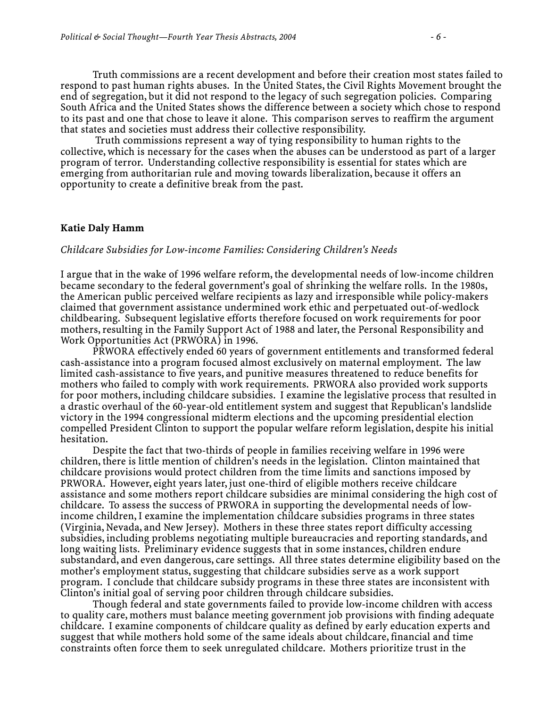Truth commissions are a recent development and before their creation most states failed to respond to past human rights abuses. In the United States, the Civil Rights Movement brought the end of segregation, but it did not respond to the legacy of such segregation policies. Comparing South Africa and the United States shows the difference between a society which chose to respond to its past and one that chose to leave it alone. This comparison serves to reaffirm the argument that states and societies must address their collective responsibility.

 Truth commissions represent a way of tying responsibility to human rights to the collective, which is necessary for the cases when the abuses can be understood as part of a larger program of terror. Understanding collective responsibility is essential for states which are emerging from authoritarian rule and moving towards liberalization, because it offers an opportunity to create a definitive break from the past.

#### **Katie Daly Hamm**

### *Childcare Subsidies for Low-income Families: Considering Children's Needs*

I argue that in the wake of 1996 welfare reform, the developmental needs of low-income children became secondary to the federal government's goal of shrinking the welfare rolls. In the 1980s, the American public perceived welfare recipients as lazy and irresponsible while policy-makers claimed that government assistance undermined work ethic and perpetuated out-of-wedlock childbearing. Subsequent legislative efforts therefore focused on work requirements for poor mothers, resulting in the Family Support Act of 1988 and later, the Personal Responsibility and Work Opportunities Act (PRWORA) in 1996.

 PRWORA effectively ended 60 years of government entitlements and transformed federal cash-assistance into a program focused almost exclusively on maternal employment. The law limited cash-assistance to five years, and punitive measures threatened to reduce benefits for mothers who failed to comply with work requirements. PRWORA also provided work supports for poor mothers, including childcare subsidies. I examine the legislative process that resulted in a drastic overhaul of the 60-year-old entitlement system and suggest that Republican's landslide victory in the 1994 congressional midterm elections and the upcoming presidential election compelled President Clinton to support the popular welfare reform legislation, despite his initial hesitation.

 Despite the fact that two-thirds of people in families receiving welfare in 1996 were children, there is little mention of children's needs in the legislation. Clinton maintained that childcare provisions would protect children from the time limits and sanctions imposed by PRWORA. However, eight years later, just one-third of eligible mothers receive childcare assistance and some mothers report childcare subsidies are minimal considering the high cost of childcare. To assess the success of PRWORA in supporting the developmental needs of lowincome children, I examine the implementation childcare subsidies programs in three states (Virginia, Nevada, and New Jersey). Mothers in these three states report difficulty accessing subsidies, including problems negotiating multiple bureaucracies and reporting standards, and long waiting lists. Preliminary evidence suggests that in some instances, children endure substandard, and even dangerous, care settings. All three states determine eligibility based on the mother's employment status, suggesting that childcare subsidies serve as a work support program. I conclude that childcare subsidy programs in these three states are inconsistent with Clinton's initial goal of serving poor children through childcare subsidies.

 Though federal and state governments failed to provide low-income children with access to quality care, mothers must balance meeting government job provisions with finding adequate childcare. I examine components of childcare quality as defined by early education experts and suggest that while mothers hold some of the same ideals about childcare, financial and time constraints often force them to seek unregulated childcare. Mothers prioritize trust in the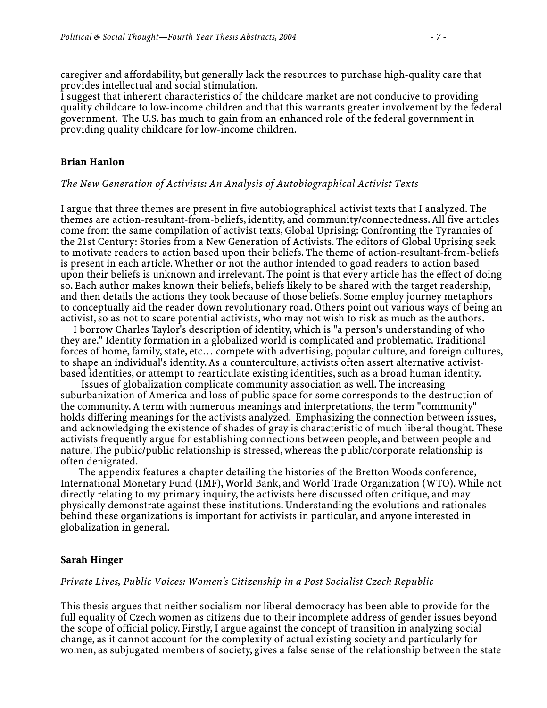caregiver and affordability, but generally lack the resources to purchase high-quality care that provides intellectual and social stimulation.

I suggest that inherent characteristics of the childcare market are not conducive to providing quality childcare to low-income children and that this warrants greater involvement by the federal government. The U.S. has much to gain from an enhanced role of the federal government in providing quality childcare for low-income children.

#### **Brian Hanlon**

#### *The New Generation of Activists: An Analysis of Autobiographical Activist Texts*

I argue that three themes are present in five autobiographical activist texts that I analyzed. The themes are action-resultant-from-beliefs, identity, and community/connectedness. All five articles come from the same compilation of activist texts, Global Uprising: Confronting the Tyrannies of the 21st Century: Stories from a New Generation of Activists. The editors of Global Uprising seek to motivate readers to action based upon their beliefs. The theme of action-resultant-from-beliefs is present in each article. Whether or not the author intended to goad readers to action based upon their beliefs is unknown and irrelevant. The point is that every article has the effect of doing so. Each author makes known their beliefs, beliefs likely to be shared with the target readership, and then details the actions they took because of those beliefs. Some employ journey metaphors to conceptually aid the reader down revolutionary road. Others point out various ways of being an activist, so as not to scare potential activists, who may not wish to risk as much as the authors.

 I borrow Charles Taylor's description of identity, which is "a person's understanding of who they are." Identity formation in a globalized world is complicated and problematic. Traditional forces of home, family, state, etc… compete with advertising, popular culture, and foreign cultures, to shape an individual's identity. As a counterculture, activists often assert alternative activistbased identities, or attempt to rearticulate existing identities, such as a broad human identity.

 Issues of globalization complicate community association as well. The increasing suburbanization of America and loss of public space for some corresponds to the destruction of the community. A term with numerous meanings and interpretations, the term "community" holds differing meanings for the activists analyzed. Emphasizing the connection between issues, and acknowledging the existence of shades of gray is characteristic of much liberal thought. These activists frequently argue for establishing connections between people, and between people and nature. The public/public relationship is stressed, whereas the public/corporate relationship is often denigrated.

 The appendix features a chapter detailing the histories of the Bretton Woods conference, International Monetary Fund (IMF), World Bank, and World Trade Organization (WTO). While not directly relating to my primary inquiry, the activists here discussed often critique, and may physically demonstrate against these institutions. Understanding the evolutions and rationales behind these organizations is important for activists in particular, and anyone interested in globalization in general.

#### **Sarah Hinger**

### *Private Lives, Public Voices: Women's Citizenship in a Post Socialist Czech Republic*

This thesis argues that neither socialism nor liberal democracy has been able to provide for the full equality of Czech women as citizens due to their incomplete address of gender issues beyond the scope of official policy. Firstly, I argue against the concept of transition in analyzing social change, as it cannot account for the complexity of actual existing society and particularly for women, as subjugated members of society, gives a false sense of the relationship between the state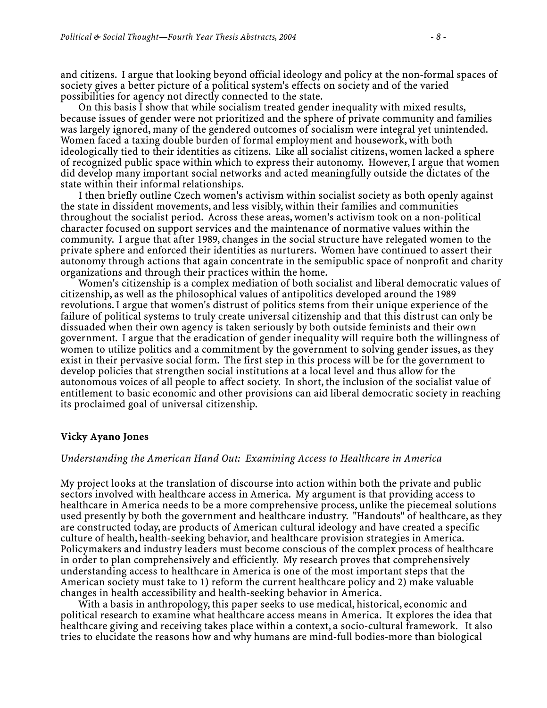and citizens. I argue that looking beyond official ideology and policy at the non-formal spaces of society gives a better picture of a political system's effects on society and of the varied possibilities for agency not directly connected to the state.

 On this basis I show that while socialism treated gender inequality with mixed results, because issues of gender were not prioritized and the sphere of private community and families was largely ignored, many of the gendered outcomes of socialism were integral yet unintended. Women faced a taxing double burden of formal employment and housework, with both ideologically tied to their identities as citizens. Like all socialist citizens, women lacked a sphere of recognized public space within which to express their autonomy. However, I argue that women did develop many important social networks and acted meaningfully outside the dictates of the state within their informal relationships.

 I then briefly outline Czech women's activism within socialist society as both openly against the state in dissident movements, and less visibly, within their families and communities throughout the socialist period. Across these areas, women's activism took on a non-political character focused on support services and the maintenance of normative values within the community. I argue that after 1989, changes in the social structure have relegated women to the private sphere and enforced their identities as nurturers. Women have continued to assert their autonomy through actions that again concentrate in the semipublic space of nonprofit and charity organizations and through their practices within the home.

 Women's citizenship is a complex mediation of both socialist and liberal democratic values of citizenship, as well as the philosophical values of antipolitics developed around the 1989 revolutions. I argue that women's distrust of politics stems from their unique experience of the failure of political systems to truly create universal citizenship and that this distrust can only be dissuaded when their own agency is taken seriously by both outside feminists and their own government. I argue that the eradication of gender inequality will require both the willingness of women to utilize politics and a commitment by the government to solving gender issues, as they exist in their pervasive social form. The first step in this process will be for the government to develop policies that strengthen social institutions at a local level and thus allow for the autonomous voices of all people to affect society. In short, the inclusion of the socialist value of entitlement to basic economic and other provisions can aid liberal democratic society in reaching its proclaimed goal of universal citizenship.

#### **Vicky Ayano Jones**

#### *Understanding the American Hand Out: Examining Access to Healthcare in America*

My project looks at the translation of discourse into action within both the private and public sectors involved with healthcare access in America. My argument is that providing access to healthcare in America needs to be a more comprehensive process, unlike the piecemeal solutions used presently by both the government and healthcare industry. "Handouts" of healthcare, as they are constructed today, are products of American cultural ideology and have created a specific culture of health, health-seeking behavior, and healthcare provision strategies in America. Policymakers and industry leaders must become conscious of the complex process of healthcare in order to plan comprehensively and efficiently. My research proves that comprehensively understanding access to healthcare in America is one of the most important steps that the American society must take to 1) reform the current healthcare policy and 2) make valuable changes in health accessibility and health-seeking behavior in America.

 With a basis in anthropology, this paper seeks to use medical, historical, economic and political research to examine what healthcare access means in America. It explores the idea that healthcare giving and receiving takes place within a context, a socio-cultural framework. It also tries to elucidate the reasons how and why humans are mind-full bodies-more than biological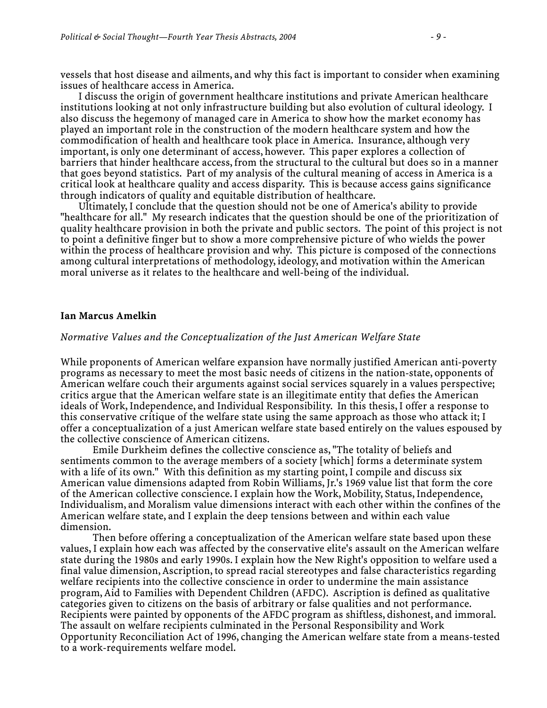vessels that host disease and ailments, and why this fact is important to consider when examining issues of healthcare access in America.

 I discuss the origin of government healthcare institutions and private American healthcare institutions looking at not only infrastructure building but also evolution of cultural ideology. I also discuss the hegemony of managed care in America to show how the market economy has played an important role in the construction of the modern healthcare system and how the commodification of health and healthcare took place in America. Insurance, although very important, is only one determinant of access, however. This paper explores a collection of barriers that hinder healthcare access, from the structural to the cultural but does so in a manner that goes beyond statistics. Part of my analysis of the cultural meaning of access in America is a critical look at healthcare quality and access disparity. This is because access gains significance through indicators of quality and equitable distribution of healthcare.

 Ultimately, I conclude that the question should not be one of America's ability to provide "healthcare for all." My research indicates that the question should be one of the prioritization of quality healthcare provision in both the private and public sectors. The point of this project is not to point a definitive finger but to show a more comprehensive picture of who wields the power within the process of healthcare provision and why. This picture is composed of the connections among cultural interpretations of methodology, ideology, and motivation within the American moral universe as it relates to the healthcare and well-being of the individual.

#### **Ian Marcus Amelkin**

#### *Normative Values and the Conceptualization of the Just American Welfare State*

While proponents of American welfare expansion have normally justified American anti-poverty programs as necessary to meet the most basic needs of citizens in the nation-state, opponents of American welfare couch their arguments against social services squarely in a values perspective; critics argue that the American welfare state is an illegitimate entity that defies the American ideals of Work, Independence, and Individual Responsibility. In this thesis, I offer a response to this conservative critique of the welfare state using the same approach as those who attack it; I offer a conceptualization of a just American welfare state based entirely on the values espoused by the collective conscience of American citizens.

 Emile Durkheim defines the collective conscience as, "The totality of beliefs and sentiments common to the average members of a society [which] forms a determinate system with a life of its own." With this definition as my starting point, I compile and discuss six American value dimensions adapted from Robin Williams, Jr.'s 1969 value list that form the core of the American collective conscience. I explain how the Work, Mobility, Status, Independence, Individualism, and Moralism value dimensions interact with each other within the confines of the American welfare state, and I explain the deep tensions between and within each value dimension.

 Then before offering a conceptualization of the American welfare state based upon these values, I explain how each was affected by the conservative elite's assault on the American welfare state during the 1980s and early 1990s. I explain how the New Right's opposition to welfare used a final value dimension, Ascription, to spread racial stereotypes and false characteristics regarding welfare recipients into the collective conscience in order to undermine the main assistance program, Aid to Families with Dependent Children (AFDC). Ascription is defined as qualitative categories given to citizens on the basis of arbitrary or false qualities and not performance. Recipients were painted by opponents of the AFDC program as shiftless, dishonest, and immoral. The assault on welfare recipients culminated in the Personal Responsibility and Work Opportunity Reconciliation Act of 1996, changing the American welfare state from a means-tested to a work-requirements welfare model.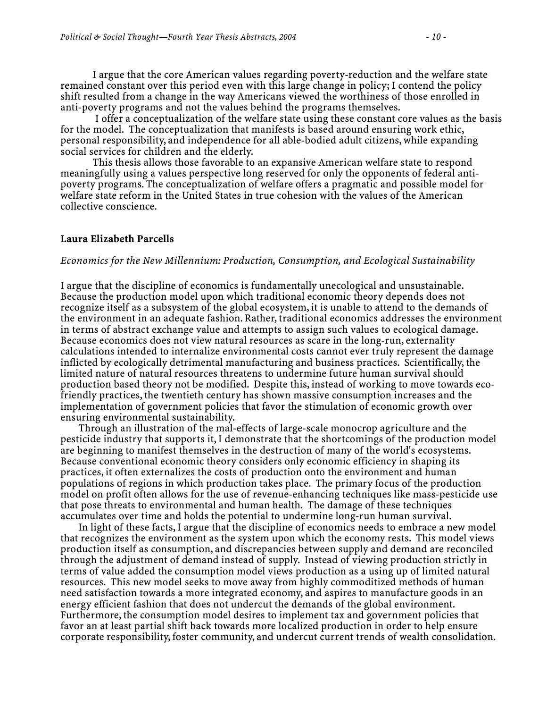I argue that the core American values regarding poverty-reduction and the welfare state remained constant over this period even with this large change in policy; I contend the policy shift resulted from a change in the way Americans viewed the worthiness of those enrolled in anti-poverty programs and not the values behind the programs themselves.

 I offer a conceptualization of the welfare state using these constant core values as the basis for the model. The conceptualization that manifests is based around ensuring work ethic, personal responsibility, and independence for all able-bodied adult citizens, while expanding social services for children and the elderly.

 This thesis allows those favorable to an expansive American welfare state to respond meaningfully using a values perspective long reserved for only the opponents of federal antipoverty programs. The conceptualization of welfare offers a pragmatic and possible model for welfare state reform in the United States in true cohesion with the values of the American collective conscience.

#### **Laura Elizabeth Parcells**

#### *Economics for the New Millennium: Production, Consumption, and Ecological Sustainability*

I argue that the discipline of economics is fundamentally unecological and unsustainable. Because the production model upon which traditional economic theory depends does not recognize itself as a subsystem of the global ecosystem, it is unable to attend to the demands of the environment in an adequate fashion. Rather, traditional economics addresses the environment in terms of abstract exchange value and attempts to assign such values to ecological damage. Because economics does not view natural resources as scare in the long-run, externality calculations intended to internalize environmental costs cannot ever truly represent the damage inflicted by ecologically detrimental manufacturing and business practices. Scientifically, the limited nature of natural resources threatens to undermine future human survival should production based theory not be modified. Despite this, instead of working to move towards ecofriendly practices, the twentieth century has shown massive consumption increases and the implementation of government policies that favor the stimulation of economic growth over ensuring environmental sustainability.

 Through an illustration of the mal-effects of large-scale monocrop agriculture and the pesticide industry that supports it, I demonstrate that the shortcomings of the production model are beginning to manifest themselves in the destruction of many of the world's ecosystems. Because conventional economic theory considers only economic efficiency in shaping its practices, it often externalizes the costs of production onto the environment and human populations of regions in which production takes place. The primary focus of the production model on profit often allows for the use of revenue-enhancing techniques like mass-pesticide use that pose threats to environmental and human health. The damage of these techniques accumulates over time and holds the potential to undermine long-run human survival.

 In light of these facts, I argue that the discipline of economics needs to embrace a new model that recognizes the environment as the system upon which the economy rests. This model views production itself as consumption, and discrepancies between supply and demand are reconciled through the adjustment of demand instead of supply. Instead of viewing production strictly in terms of value added the consumption model views production as a using up of limited natural resources. This new model seeks to move away from highly commoditized methods of human need satisfaction towards a more integrated economy, and aspires to manufacture goods in an energy efficient fashion that does not undercut the demands of the global environment. Furthermore, the consumption model desires to implement tax and government policies that favor an at least partial shift back towards more localized production in order to help ensure corporate responsibility, foster community, and undercut current trends of wealth consolidation.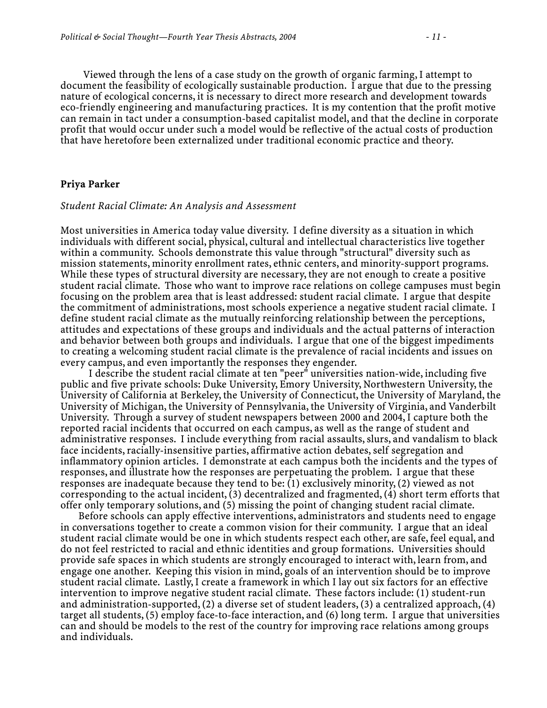Viewed through the lens of a case study on the growth of organic farming, I attempt to document the feasibility of ecologically sustainable production. I argue that due to the pressing nature of ecological concerns, it is necessary to direct more research and development towards eco-friendly engineering and manufacturing practices. It is my contention that the profit motive can remain in tact under a consumption-based capitalist model, and that the decline in corporate profit that would occur under such a model would be reflective of the actual costs of production that have heretofore been externalized under traditional economic practice and theory.

### **Priya Parker**

#### *Student Racial Climate: An Analysis and Assessment*

Most universities in America today value diversity. I define diversity as a situation in which individuals with different social, physical, cultural and intellectual characteristics live together within a community. Schools demonstrate this value through "structural" diversity such as mission statements, minority enrollment rates, ethnic centers, and minority-support programs. While these types of structural diversity are necessary, they are not enough to create a positive student racial climate. Those who want to improve race relations on college campuses must begin focusing on the problem area that is least addressed: student racial climate. I argue that despite the commitment of administrations, most schools experience a negative student racial climate. I define student racial climate as the mutually reinforcing relationship between the perceptions, attitudes and expectations of these groups and individuals and the actual patterns of interaction and behavior between both groups and individuals. I argue that one of the biggest impediments to creating a welcoming student racial climate is the prevalence of racial incidents and issues on every campus, and even importantly the responses they engender.

 I describe the student racial climate at ten "peer" universities nation-wide, including five public and five private schools: Duke University, Emory University, Northwestern University, the University of California at Berkeley, the University of Connecticut, the University of Maryland, the University of Michigan, the University of Pennsylvania, the University of Virginia, and Vanderbilt University. Through a survey of student newspapers between 2000 and 2004, I capture both the reported racial incidents that occurred on each campus, as well as the range of student and administrative responses. I include everything from racial assaults, slurs, and vandalism to black face incidents, racially-insensitive parties, affirmative action debates, self segregation and inflammatory opinion articles. I demonstrate at each campus both the incidents and the types of responses, and illustrate how the responses are perpetuating the problem. I argue that these responses are inadequate because they tend to be: (1) exclusively minority, (2) viewed as not corresponding to the actual incident, (3) decentralized and fragmented, (4) short term efforts that offer only temporary solutions, and (5) missing the point of changing student racial climate.

 Before schools can apply effective interventions, administrators and students need to engage in conversations together to create a common vision for their community. I argue that an ideal student racial climate would be one in which students respect each other, are safe, feel equal, and do not feel restricted to racial and ethnic identities and group formations. Universities should provide safe spaces in which students are strongly encouraged to interact with, learn from, and engage one another. Keeping this vision in mind, goals of an intervention should be to improve student racial climate. Lastly, I create a framework in which I lay out six factors for an effective intervention to improve negative student racial climate. These factors include: (1) student-run and administration-supported, (2) a diverse set of student leaders, (3) a centralized approach, (4) target all students, (5) employ face-to-face interaction, and (6) long term. I argue that universities can and should be models to the rest of the country for improving race relations among groups and individuals.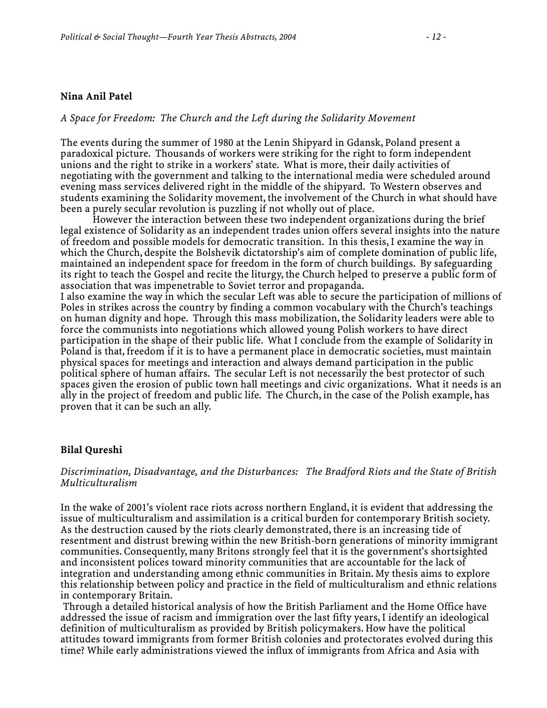### **Nina Anil Patel**

### *A Space for Freedom: The Church and the Left during the Solidarity Movement*

The events during the summer of 1980 at the Lenin Shipyard in Gdansk, Poland present a paradoxical picture. Thousands of workers were striking for the right to form independent unions and the right to strike in a workers' state. What is more, their daily activities of negotiating with the government and talking to the international media were scheduled around evening mass services delivered right in the middle of the shipyard. To Western observes and students examining the Solidarity movement, the involvement of the Church in what should have been a purely secular revolution is puzzling if not wholly out of place.

 However the interaction between these two independent organizations during the brief legal existence of Solidarity as an independent trades union offers several insights into the nature of freedom and possible models for democratic transition. In this thesis, I examine the way in which the Church, despite the Bolshevik dictatorship's aim of complete domination of public life, maintained an independent space for freedom in the form of church buildings. By safeguarding its right to teach the Gospel and recite the liturgy, the Church helped to preserve a public form of association that was impenetrable to Soviet terror and propaganda.

I also examine the way in which the secular Left was able to secure the participation of millions of Poles in strikes across the country by finding a common vocabulary with the Church's teachings on human dignity and hope. Through this mass mobilization, the Solidarity leaders were able to force the communists into negotiations which allowed young Polish workers to have direct participation in the shape of their public life. What I conclude from the example of Solidarity in Poland is that, freedom if it is to have a permanent place in democratic societies, must maintain physical spaces for meetings and interaction and always demand participation in the public political sphere of human affairs. The secular Left is not necessarily the best protector of such spaces given the erosion of public town hall meetings and civic organizations. What it needs is an ally in the project of freedom and public life. The Church, in the case of the Polish example, has proven that it can be such an ally.

### **Bilal Qureshi**

### *Discrimination, Disadvantage, and the Disturbances: The Bradford Riots and the State of British Multiculturalism*

In the wake of 2001's violent race riots across northern England, it is evident that addressing the issue of multiculturalism and assimilation is a critical burden for contemporary British society. As the destruction caused by the riots clearly demonstrated, there is an increasing tide of resentment and distrust brewing within the new British-born generations of minority immigrant communities. Consequently, many Britons strongly feel that it is the government's shortsighted and inconsistent polices toward minority communities that are accountable for the lack of integration and understanding among ethnic communities in Britain. My thesis aims to explore this relationship between policy and practice in the field of multiculturalism and ethnic relations in contemporary Britain.

 Through a detailed historical analysis of how the British Parliament and the Home Office have addressed the issue of racism and immigration over the last fifty years, I identify an ideological definition of multiculturalism as provided by British policymakers. How have the political attitudes toward immigrants from former British colonies and protectorates evolved during this time? While early administrations viewed the influx of immigrants from Africa and Asia with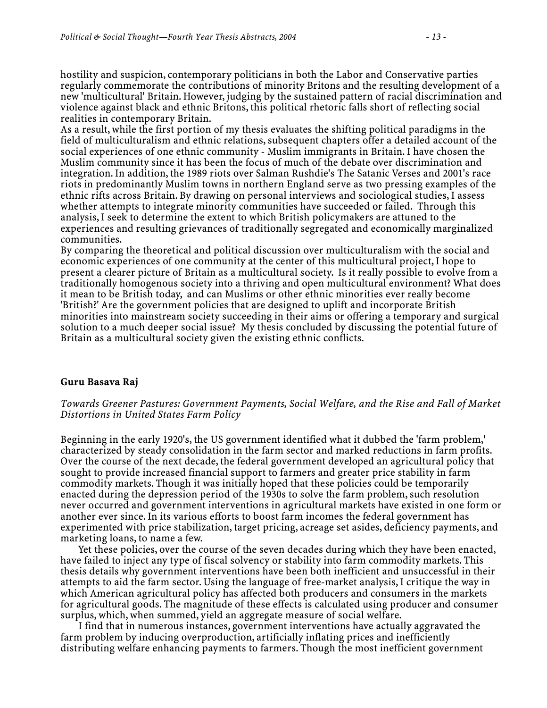hostility and suspicion, contemporary politicians in both the Labor and Conservative parties regularly commemorate the contributions of minority Britons and the resulting development of a new 'multicultural' Britain. However, judging by the sustained pattern of racial discrimination and violence against black and ethnic Britons, this political rhetoric falls short of reflecting social realities in contemporary Britain.

As a result, while the first portion of my thesis evaluates the shifting political paradigms in the field of multiculturalism and ethnic relations, subsequent chapters offer a detailed account of the social experiences of one ethnic community - Muslim immigrants in Britain. I have chosen the Muslim community since it has been the focus of much of the debate over discrimination and integration. In addition, the 1989 riots over Salman Rushdie's The Satanic Verses and 2001's race riots in predominantly Muslim towns in northern England serve as two pressing examples of the ethnic rifts across Britain. By drawing on personal interviews and sociological studies, I assess whether attempts to integrate minority communities have succeeded or failed. Through this analysis, I seek to determine the extent to which British policymakers are attuned to the experiences and resulting grievances of traditionally segregated and economically marginalized communities.

By comparing the theoretical and political discussion over multiculturalism with the social and economic experiences of one community at the center of this multicultural project, I hope to present a clearer picture of Britain as a multicultural society. Is it really possible to evolve from a traditionally homogenous society into a thriving and open multicultural environment? What does it mean to be British today, and can Muslims or other ethnic minorities ever really become 'British?' Are the government policies that are designed to uplift and incorporate British minorities into mainstream society succeeding in their aims or offering a temporary and surgical solution to a much deeper social issue? My thesis concluded by discussing the potential future of Britain as a multicultural society given the existing ethnic conflicts.

### **Guru Basava Raj**

### *Towards Greener Pastures: Government Payments, Social Welfare, and the Rise and Fall of Market Distortions in United States Farm Policy*

Beginning in the early 1920's, the US government identified what it dubbed the 'farm problem,' characterized by steady consolidation in the farm sector and marked reductions in farm profits. Over the course of the next decade, the federal government developed an agricultural policy that sought to provide increased financial support to farmers and greater price stability in farm commodity markets. Though it was initially hoped that these policies could be temporarily enacted during the depression period of the 1930s to solve the farm problem, such resolution never occurred and government interventions in agricultural markets have existed in one form or another ever since. In its various efforts to boost farm incomes the federal government has experimented with price stabilization, target pricing, acreage set asides, deficiency payments, and marketing loans, to name a few.

 Yet these policies, over the course of the seven decades during which they have been enacted, have failed to inject any type of fiscal solvency or stability into farm commodity markets. This thesis details why government interventions have been both inefficient and unsuccessful in their attempts to aid the farm sector. Using the language of free-market analysis, I critique the way in which American agricultural policy has affected both producers and consumers in the markets for agricultural goods. The magnitude of these effects is calculated using producer and consumer surplus, which, when summed, yield an aggregate measure of social welfare.

 I find that in numerous instances, government interventions have actually aggravated the farm problem by inducing overproduction, artificially inflating prices and inefficiently distributing welfare enhancing payments to farmers. Though the most inefficient government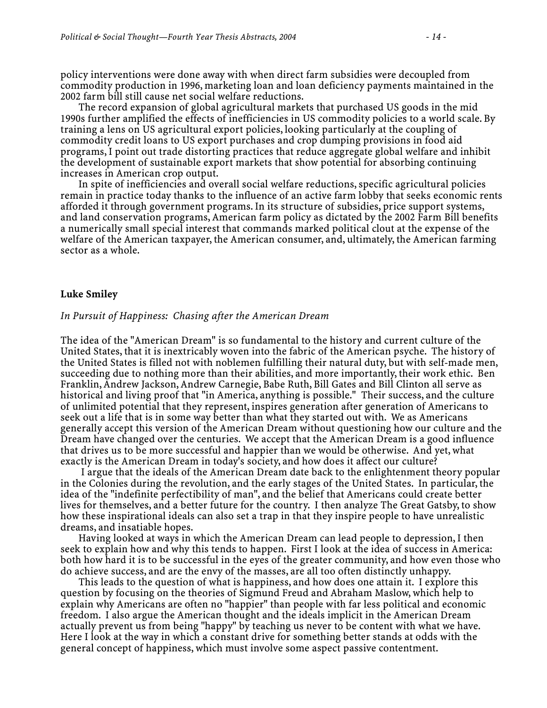policy interventions were done away with when direct farm subsidies were decoupled from commodity production in 1996, marketing loan and loan deficiency payments maintained in the 2002 farm bill still cause net social welfare reductions.

 The record expansion of global agricultural markets that purchased US goods in the mid 1990s further amplified the effects of inefficiencies in US commodity policies to a world scale. By training a lens on US agricultural export policies, looking particularly at the coupling of commodity credit loans to US export purchases and crop dumping provisions in food aid programs, I point out trade distorting practices that reduce aggregate global welfare and inhibit the development of sustainable export markets that show potential for absorbing continuing increases in American crop output.

 In spite of inefficiencies and overall social welfare reductions, specific agricultural policies remain in practice today thanks to the influence of an active farm lobby that seeks economic rents afforded it through government programs. In its structure of subsidies, price support systems, and land conservation programs, American farm policy as dictated by the 2002 Farm Bill benefits a numerically small special interest that commands marked political clout at the expense of the welfare of the American taxpayer, the American consumer, and, ultimately, the American farming sector as a whole.

#### **Luke Smiley**

#### *In Pursuit of Happiness: Chasing after the American Dream*

The idea of the "American Dream" is so fundamental to the history and current culture of the United States, that it is inextricably woven into the fabric of the American psyche. The history of the United States is filled not with noblemen fulfilling their natural duty, but with self-made men, succeeding due to nothing more than their abilities, and more importantly, their work ethic. Ben Franklin, Andrew Jackson, Andrew Carnegie, Babe Ruth, Bill Gates and Bill Clinton all serve as historical and living proof that "in America, anything is possible." Their success, and the culture of unlimited potential that they represent, inspires generation after generation of Americans to seek out a life that is in some way better than what they started out with. We as Americans generally accept this version of the American Dream without questioning how our culture and the Dream have changed over the centuries. We accept that the American Dream is a good influence that drives us to be more successful and happier than we would be otherwise. And yet, what exactly is the American Dream in today's society, and how does it affect our culture?

 I argue that the ideals of the American Dream date back to the enlightenment theory popular in the Colonies during the revolution, and the early stages of the United States. In particular, the idea of the "indefinite perfectibility of man", and the belief that Americans could create better lives for themselves, and a better future for the country. I then analyze The Great Gatsby, to show how these inspirational ideals can also set a trap in that they inspire people to have unrealistic dreams, and insatiable hopes.

 Having looked at ways in which the American Dream can lead people to depression, I then seek to explain how and why this tends to happen. First I look at the idea of success in America: both how hard it is to be successful in the eyes of the greater community, and how even those who do achieve success, and are the envy of the masses, are all too often distinctly unhappy.

 This leads to the question of what is happiness, and how does one attain it. I explore this question by focusing on the theories of Sigmund Freud and Abraham Maslow, which help to explain why Americans are often no "happier" than people with far less political and economic freedom. I also argue the American thought and the ideals implicit in the American Dream actually prevent us from being "happy" by teaching us never to be content with what we have. Here I look at the way in which a constant drive for something better stands at odds with the general concept of happiness, which must involve some aspect passive contentment.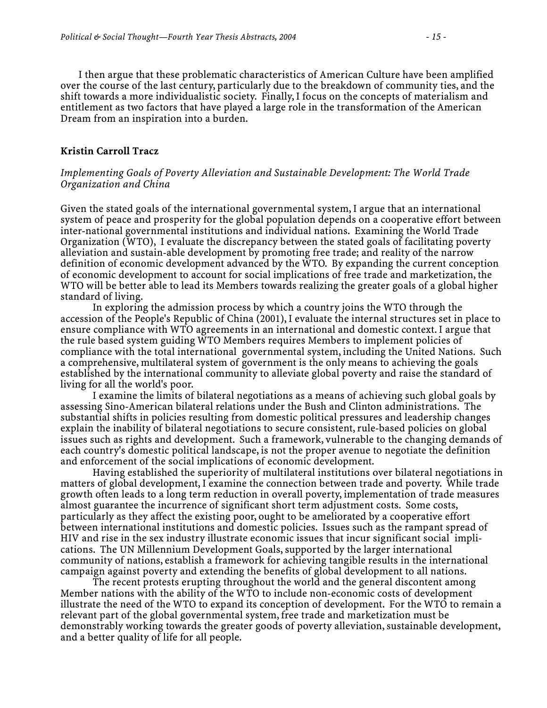I then argue that these problematic characteristics of American Culture have been amplified over the course of the last century, particularly due to the breakdown of community ties, and the shift towards a more individualistic society. Finally, I focus on the concepts of materialism and entitlement as two factors that have played a large role in the transformation of the American Dream from an inspiration into a burden.

### **Kristin Carroll Tracz**

### *Implementing Goals of Poverty Alleviation and Sustainable Development: The World Trade Organization and China*

Given the stated goals of the international governmental system, I argue that an international system of peace and prosperity for the global population depends on a cooperative effort between inter-national governmental institutions and individual nations. Examining the World Trade Organization (WTO), I evaluate the discrepancy between the stated goals of facilitating poverty alleviation and sustain-able development by promoting free trade; and reality of the narrow definition of economic development advanced by the WTO. By expanding the current conception of economic development to account for social implications of free trade and marketization, the WTO will be better able to lead its Members towards realizing the greater goals of a global higher standard of living.

 In exploring the admission process by which a country joins the WTO through the accession of the People's Republic of China (2001), I evaluate the internal structures set in place to ensure compliance with WTO agreements in an international and domestic context. I argue that the rule based system guiding WTO Members requires Members to implement policies of compliance with the total international governmental system, including the United Nations. Such a comprehensive, multilateral system of government is the only means to achieving the goals established by the international community to alleviate global poverty and raise the standard of living for all the world's poor.

 I examine the limits of bilateral negotiations as a means of achieving such global goals by assessing Sino-American bilateral relations under the Bush and Clinton administrations. The substantial shifts in policies resulting from domestic political pressures and leadership changes explain the inability of bilateral negotiations to secure consistent, rule-based policies on global issues such as rights and development. Such a framework, vulnerable to the changing demands of each country's domestic political landscape, is not the proper avenue to negotiate the definition and enforcement of the social implications of economic development.

 Having established the superiority of multilateral institutions over bilateral negotiations in matters of global development, I examine the connection between trade and poverty. While trade growth often leads to a long term reduction in overall poverty, implementation of trade measures almost guarantee the incurrence of significant short term adjustment costs. Some costs, particularly as they affect the existing poor, ought to be ameliorated by a cooperative effort between international institutions and domestic policies. Issues such as the rampant spread of HIV and rise in the sex industry illustrate economic issues that incur significant social implications. The UN Millennium Development Goals, supported by the larger international community of nations, establish a framework for achieving tangible results in the international campaign against poverty and extending the benefits of global development to all nations.

 The recent protests erupting throughout the world and the general discontent among Member nations with the ability of the WTO to include non-economic costs of development illustrate the need of the WTO to expand its conception of development. For the WTO to remain a relevant part of the global governmental system, free trade and marketization must be demonstrably working towards the greater goods of poverty alleviation, sustainable development, and a better quality of life for all people.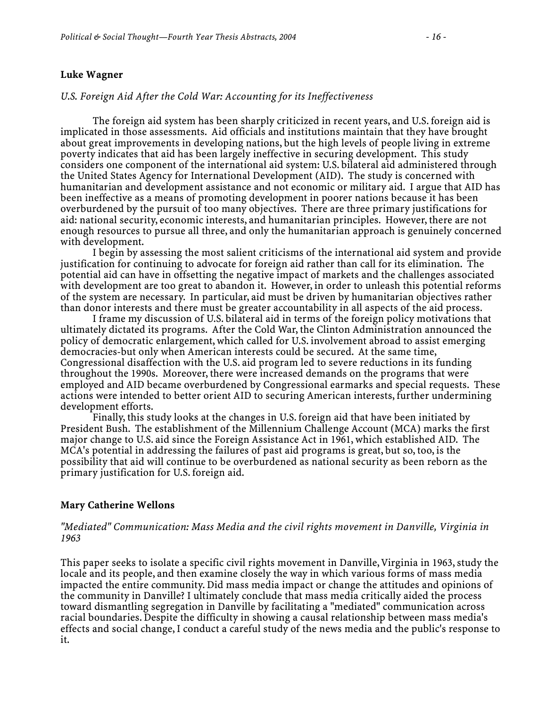### **Luke Wagner**

### *U.S. Foreign Aid After the Cold War: Accounting for its Ineffectiveness*

 The foreign aid system has been sharply criticized in recent years, and U.S. foreign aid is implicated in those assessments. Aid officials and institutions maintain that they have brought about great improvements in developing nations, but the high levels of people living in extreme poverty indicates that aid has been largely ineffective in securing development. This study considers one component of the international aid system: U.S. bilateral aid administered through the United States Agency for International Development (AID). The study is concerned with humanitarian and development assistance and not economic or military aid. I argue that AID has been ineffective as a means of promoting development in poorer nations because it has been overburdened by the pursuit of too many objectives. There are three primary justifications for aid: national security, economic interests, and humanitarian principles. However, there are not enough resources to pursue all three, and only the humanitarian approach is genuinely concerned with development.

 I begin by assessing the most salient criticisms of the international aid system and provide justification for continuing to advocate for foreign aid rather than call for its elimination. The potential aid can have in offsetting the negative impact of markets and the challenges associated with development are too great to abandon it. However, in order to unleash this potential reforms of the system are necessary. In particular, aid must be driven by humanitarian objectives rather than donor interests and there must be greater accountability in all aspects of the aid process.

 I frame my discussion of U.S. bilateral aid in terms of the foreign policy motivations that ultimately dictated its programs. After the Cold War, the Clinton Administration announced the policy of democratic enlargement, which called for U.S. involvement abroad to assist emerging democracies-but only when American interests could be secured. At the same time, Congressional disaffection with the U.S. aid program led to severe reductions in its funding throughout the 1990s. Moreover, there were increased demands on the programs that were employed and AID became overburdened by Congressional earmarks and special requests. These actions were intended to better orient AID to securing American interests, further undermining development efforts.

 Finally, this study looks at the changes in U.S. foreign aid that have been initiated by President Bush. The establishment of the Millennium Challenge Account (MCA) marks the first major change to U.S. aid since the Foreign Assistance Act in 1961, which established AID. The MCA's potential in addressing the failures of past aid programs is great, but so, too, is the possibility that aid will continue to be overburdened as national security as been reborn as the primary justification for U.S. foreign aid.

### **Mary Catherine Wellons**

### *"Mediated" Communication: Mass Media and the civil rights movement in Danville, Virginia in 1963*

This paper seeks to isolate a specific civil rights movement in Danville, Virginia in 1963, study the locale and its people, and then examine closely the way in which various forms of mass media impacted the entire community. Did mass media impact or change the attitudes and opinions of the community in Danville? I ultimately conclude that mass media critically aided the process toward dismantling segregation in Danville by facilitating a "mediated" communication across racial boundaries. Despite the difficulty in showing a causal relationship between mass media's effects and social change, I conduct a careful study of the news media and the public's response to it.